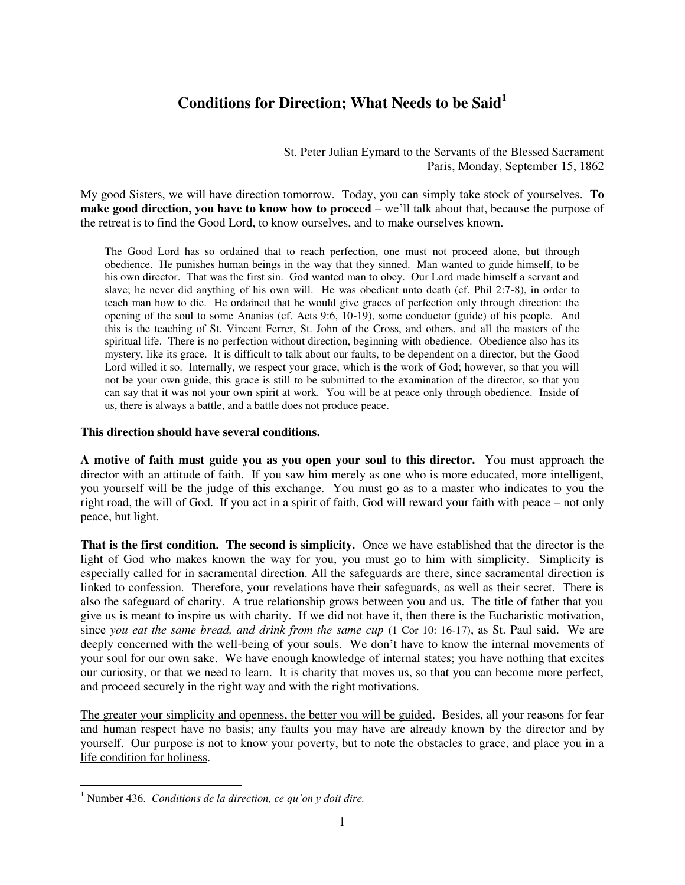## **Conditions for Direction; What Needs to be Said<sup>1</sup>**

St. Peter Julian Eymard to the Servants of the Blessed Sacrament Paris, Monday, September 15, 1862

My good Sisters, we will have direction tomorrow. Today, you can simply take stock of yourselves. **To make good direction, you have to know how to proceed** – we'll talk about that, because the purpose of the retreat is to find the Good Lord, to know ourselves, and to make ourselves known.

The Good Lord has so ordained that to reach perfection, one must not proceed alone, but through obedience. He punishes human beings in the way that they sinned. Man wanted to guide himself, to be his own director. That was the first sin. God wanted man to obey. Our Lord made himself a servant and slave; he never did anything of his own will. He was obedient unto death (cf. Phil 2:7-8), in order to teach man how to die. He ordained that he would give graces of perfection only through direction: the opening of the soul to some Ananias (cf. Acts 9:6, 10-19), some conductor (guide) of his people. And this is the teaching of St. Vincent Ferrer, St. John of the Cross, and others, and all the masters of the spiritual life. There is no perfection without direction, beginning with obedience. Obedience also has its mystery, like its grace. It is difficult to talk about our faults, to be dependent on a director, but the Good Lord willed it so. Internally, we respect your grace, which is the work of God; however, so that you will not be your own guide, this grace is still to be submitted to the examination of the director, so that you can say that it was not your own spirit at work. You will be at peace only through obedience. Inside of us, there is always a battle, and a battle does not produce peace.

## **This direction should have several conditions.**

**A motive of faith must guide you as you open your soul to this director.** You must approach the director with an attitude of faith. If you saw him merely as one who is more educated, more intelligent, you yourself will be the judge of this exchange. You must go as to a master who indicates to you the right road, the will of God. If you act in a spirit of faith, God will reward your faith with peace – not only peace, but light.

**That is the first condition. The second is simplicity.** Once we have established that the director is the light of God who makes known the way for you, you must go to him with simplicity. Simplicity is especially called for in sacramental direction. All the safeguards are there, since sacramental direction is linked to confession. Therefore, your revelations have their safeguards, as well as their secret. There is also the safeguard of charity. A true relationship grows between you and us. The title of father that you give us is meant to inspire us with charity. If we did not have it, then there is the Eucharistic motivation, since *you eat the same bread, and drink from the same cup* (1 Cor 10: 16-17), as St. Paul said. We are deeply concerned with the well-being of your souls. We don't have to know the internal movements of your soul for our own sake. We have enough knowledge of internal states; you have nothing that excites our curiosity, or that we need to learn. It is charity that moves us, so that you can become more perfect, and proceed securely in the right way and with the right motivations.

The greater your simplicity and openness, the better you will be guided. Besides, all your reasons for fear and human respect have no basis; any faults you may have are already known by the director and by yourself. Our purpose is not to know your poverty, but to note the obstacles to grace, and place you in a life condition for holiness.

 $\overline{a}$ 

<sup>1</sup> Number 436. *Conditions de la direction, ce qu'on y doit dire.*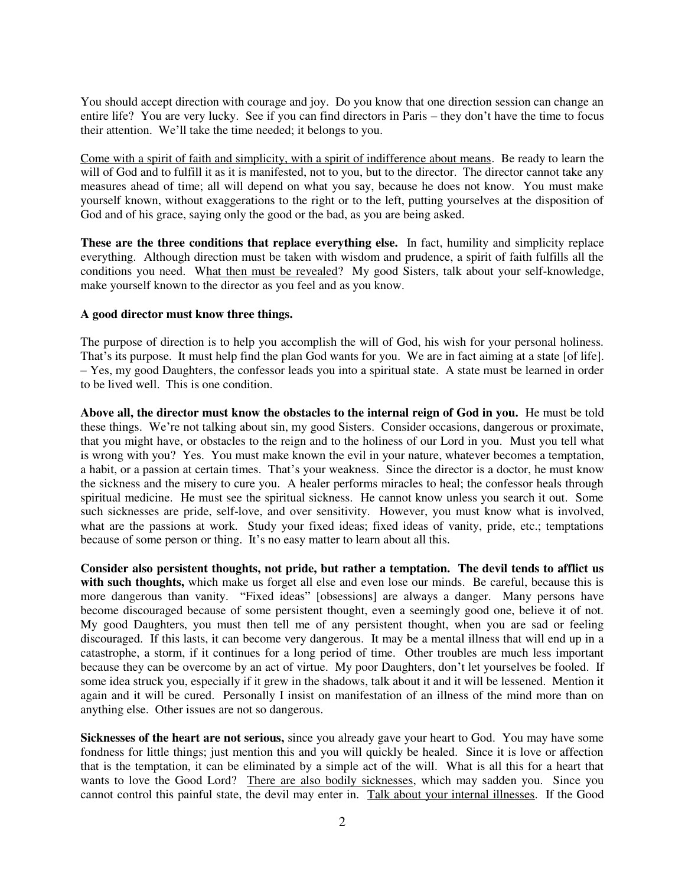You should accept direction with courage and joy. Do you know that one direction session can change an entire life? You are very lucky. See if you can find directors in Paris – they don't have the time to focus their attention. We'll take the time needed; it belongs to you.

Come with a spirit of faith and simplicity, with a spirit of indifference about means. Be ready to learn the will of God and to fulfill it as it is manifested, not to you, but to the director. The director cannot take any measures ahead of time; all will depend on what you say, because he does not know. You must make yourself known, without exaggerations to the right or to the left, putting yourselves at the disposition of God and of his grace, saying only the good or the bad, as you are being asked.

**These are the three conditions that replace everything else.** In fact, humility and simplicity replace everything. Although direction must be taken with wisdom and prudence, a spirit of faith fulfills all the conditions you need. What then must be revealed? My good Sisters, talk about your self-knowledge, make yourself known to the director as you feel and as you know.

## **A good director must know three things.**

The purpose of direction is to help you accomplish the will of God, his wish for your personal holiness. That's its purpose. It must help find the plan God wants for you. We are in fact aiming at a state [of life]. – Yes, my good Daughters, the confessor leads you into a spiritual state. A state must be learned in order to be lived well. This is one condition.

**Above all, the director must know the obstacles to the internal reign of God in you.** He must be told these things. We're not talking about sin, my good Sisters. Consider occasions, dangerous or proximate, that you might have, or obstacles to the reign and to the holiness of our Lord in you. Must you tell what is wrong with you? Yes. You must make known the evil in your nature, whatever becomes a temptation, a habit, or a passion at certain times. That's your weakness. Since the director is a doctor, he must know the sickness and the misery to cure you. A healer performs miracles to heal; the confessor heals through spiritual medicine. He must see the spiritual sickness. He cannot know unless you search it out. Some such sicknesses are pride, self-love, and over sensitivity. However, you must know what is involved, what are the passions at work. Study your fixed ideas; fixed ideas of vanity, pride, etc.; temptations because of some person or thing. It's no easy matter to learn about all this.

**Consider also persistent thoughts, not pride, but rather a temptation. The devil tends to afflict us with such thoughts,** which make us forget all else and even lose our minds. Be careful, because this is more dangerous than vanity. "Fixed ideas" [obsessions] are always a danger. Many persons have become discouraged because of some persistent thought, even a seemingly good one, believe it of not. My good Daughters, you must then tell me of any persistent thought, when you are sad or feeling discouraged. If this lasts, it can become very dangerous. It may be a mental illness that will end up in a catastrophe, a storm, if it continues for a long period of time. Other troubles are much less important because they can be overcome by an act of virtue. My poor Daughters, don't let yourselves be fooled. If some idea struck you, especially if it grew in the shadows, talk about it and it will be lessened. Mention it again and it will be cured. Personally I insist on manifestation of an illness of the mind more than on anything else. Other issues are not so dangerous.

**Sicknesses of the heart are not serious,** since you already gave your heart to God. You may have some fondness for little things; just mention this and you will quickly be healed. Since it is love or affection that is the temptation, it can be eliminated by a simple act of the will. What is all this for a heart that wants to love the Good Lord? There are also bodily sicknesses, which may sadden you. Since you cannot control this painful state, the devil may enter in. Talk about your internal illnesses. If the Good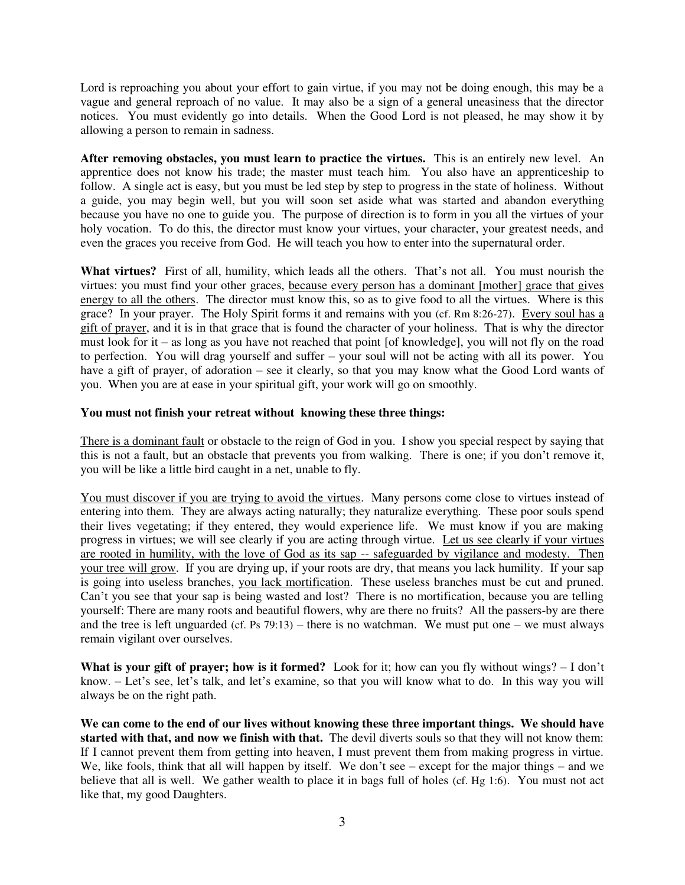Lord is reproaching you about your effort to gain virtue, if you may not be doing enough, this may be a vague and general reproach of no value. It may also be a sign of a general uneasiness that the director notices. You must evidently go into details. When the Good Lord is not pleased, he may show it by allowing a person to remain in sadness.

**After removing obstacles, you must learn to practice the virtues.** This is an entirely new level. An apprentice does not know his trade; the master must teach him. You also have an apprenticeship to follow. A single act is easy, but you must be led step by step to progress in the state of holiness. Without a guide, you may begin well, but you will soon set aside what was started and abandon everything because you have no one to guide you. The purpose of direction is to form in you all the virtues of your holy vocation. To do this, the director must know your virtues, your character, your greatest needs, and even the graces you receive from God. He will teach you how to enter into the supernatural order.

**What virtues?** First of all, humility, which leads all the others. That's not all. You must nourish the virtues: you must find your other graces, because every person has a dominant [mother] grace that gives energy to all the others. The director must know this, so as to give food to all the virtues. Where is this grace? In your prayer. The Holy Spirit forms it and remains with you (cf. Rm 8:26-27). Every soul has a gift of prayer, and it is in that grace that is found the character of your holiness. That is why the director must look for it – as long as you have not reached that point [of knowledge], you will not fly on the road to perfection. You will drag yourself and suffer – your soul will not be acting with all its power. You have a gift of prayer, of adoration – see it clearly, so that you may know what the Good Lord wants of you. When you are at ease in your spiritual gift, your work will go on smoothly.

## **You must not finish your retreat without knowing these three things:**

There is a dominant fault or obstacle to the reign of God in you. I show you special respect by saying that this is not a fault, but an obstacle that prevents you from walking. There is one; if you don't remove it, you will be like a little bird caught in a net, unable to fly.

You must discover if you are trying to avoid the virtues. Many persons come close to virtues instead of entering into them. They are always acting naturally; they naturalize everything. These poor souls spend their lives vegetating; if they entered, they would experience life. We must know if you are making progress in virtues; we will see clearly if you are acting through virtue. Let us see clearly if your virtues are rooted in humility, with the love of God as its sap -- safeguarded by vigilance and modesty. Then your tree will grow. If you are drying up, if your roots are dry, that means you lack humility. If your sap is going into useless branches, you lack mortification. These useless branches must be cut and pruned. Can't you see that your sap is being wasted and lost? There is no mortification, because you are telling yourself: There are many roots and beautiful flowers, why are there no fruits? All the passers-by are there and the tree is left unguarded (cf. Ps  $79:13$ ) – there is no watchman. We must put one – we must always remain vigilant over ourselves.

**What is your gift of prayer; how is it formed?** Look for it; how can you fly without wings? – I don't know. – Let's see, let's talk, and let's examine, so that you will know what to do. In this way you will always be on the right path.

**We can come to the end of our lives without knowing these three important things. We should have started with that, and now we finish with that.** The devil diverts souls so that they will not know them: If I cannot prevent them from getting into heaven, I must prevent them from making progress in virtue. We, like fools, think that all will happen by itself. We don't see – except for the major things – and we believe that all is well. We gather wealth to place it in bags full of holes (cf. Hg 1:6). You must not act like that, my good Daughters.